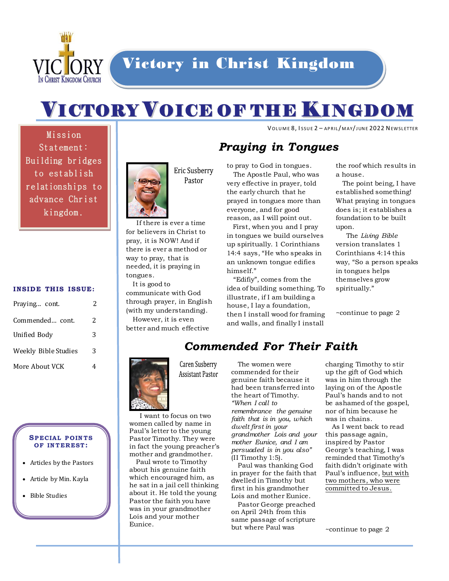

# VICTORY VOICE OF THE KINGDOM

VOLUME 8, ISSUE 2 - APRIL/MAY/JUNE 2022 NEWSLETTER

Mission Statement: Building bridges to establish relationships to advance Christ kingdom.

#### **INSIDE THIS ISSUE:**

| Praying cont.        | 2 |
|----------------------|---|
| Commended cont.      | 2 |
| Unified Body         | 3 |
| Weekly Bible Studies | 3 |
| More About VCK       |   |

#### **SP ECIAL P O IN TS OF IN TER EST :**

- Articles by the Pastors
- Article by Min. Kayla
- Bible Studies



Eric Susberry Pastor

 If there is ever a time for believers in Christ to pray, it is NOW! And if there is ever a method or way to pray, that is needed, it is praying in tongues.

 It is good to communicate with God through prayer, in English (with my understanding).

 However, it is even better and much effective

 I want to focus on two women called by name in Paul's letter to the young Pastor Timothy. They were in fact the young preacher's mother and grandmother. Paul wrote to Timothy about his genuine faith which encouraged him, as he sat in a jail cell thinking about it. He told the young Pastor the faith you have was in your grandmother Lois and your mother

Caren Susberry **Assistant Pastor** 

Eunice.

## *Praying in Tongues*

to pray to God in tongues.

 The Apostle Paul, who was very effective in prayer, told the early church that he prayed in tongues more than everyone, and for good reason, as I will point out.

 First, when you and I pray in tongues we build ourselves up spiritually. 1 Corinthians 14:4 says, "He who speaks in an unknown tongue edifies himself."

 "Edifiy", comes from the idea of building something. To illustrate, if I am building a house, I lay a foundation, then I install wood for framing and walls, and finally I install

the roof which results in a house.

 The point being, I have established something! What praying in tongues does is; it establishes a foundation to be built upon.

 The *Living Bible* version translates 1 Corinthians 4:14 this way, "So a person speaks in tongues helps themselves grow spiritually."

~continue to page 2

# *Commended For Their Faith*

 The women were commended for their genuine faith because it had been transferred into the heart of Timothy. *"When I call to* 

*remembrance the genuine faith that is in you, which dwelt first in your grandmother Lois and your mother Eunice, and I am persuaded is in you also"* (II Timothy 1:5).

 Paul was thanking God in prayer for the faith that dwelled in Timothy but first in his grandmother Lois and mother Eunice.

 Pastor George preached on April 24th from this same passage of scripture but where Paul was

charging Timothy to stir up the gift of God which was in him through the laying on of the Apostle Paul's hands and to not be ashamed of the gospel, nor of him because he was in chains.

 As I went back to read this passage again, inspired by Pastor George's teaching, I was reminded that Timothy's faith didn't originate with Paul's influence, but with two mothers, who were committed to Jesus.

~continue to page 2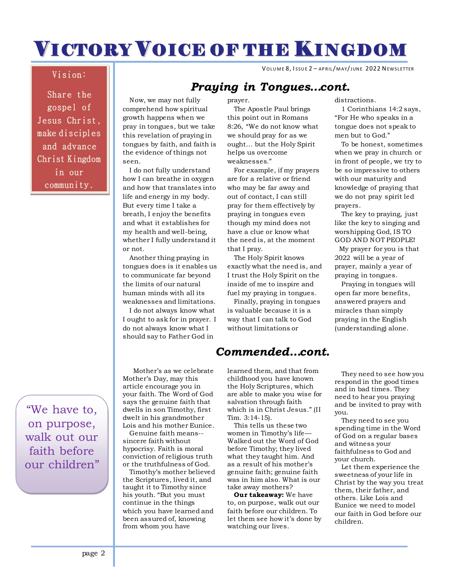# VICTORY VOICE OF THE KINGDOM

VOLUME 8, ISSUE 2 - APRIL/MAY/JUNE 2022 NEWSLETTER

### Vision:

Share the gospel of Jesus Christ, make disciples and advance Christ Kingdom in our community.

"We have to, on purpose, walk out our faith before our children"

 Now, we may not fully comprehend how spiritual growth happens when we pray in tongues, but we take this revelation of praying in tongues by faith, and faith is the evidence of things not

seen. I do not fully understand how I can breathe in oxygen and how that translates into life and energy in my body. But every time I take a breath, I enjoy the benefits and what it establishes for my health and well-being, whether I fully understand it or not.

 Another thing praying in tongues does is it enables us to communicate far beyond the limits of our natural human minds with all its weaknesses and limitations.

 I do not always know what I ought to ask for in prayer. I do not always know what I should say to Father God in

 Mother's as we celebrate Mother's Day, may this article encourage you in your faith. The Word of God says the genuine faith that dwells in son Timothy, first dwelt in his grandmother Lois and his mother Eunice.

 Genuine faith means- sincere faith without hypocrisy. Faith is moral conviction of religious truth or the truthfulness of God.

 Timothy's mother believed the Scriptures, lived it, and taught it to Timothy since his youth. "But you must continue in the things which you have learned and been assured of, knowing from whom you have

## *Praying in Tongues…cont.*

prayer.

 The Apostle Paul brings this point out in Romans 8:26, "We do not know what we should pray for as we ought… but the Holy Spirit helps us overcome weaknesses."

 For example, if my prayers are for a relative or friend who may be far away and out of contact, I can still pray for them effectively by praying in tongues even though my mind does not have a clue or know what the need is, at the moment that I pray.

 The Holy Spirit knows exactly what the need is, and I trust the Holy Spirit on the inside of me to inspire and fuel my praying in tongues.

 Finally, praying in tongues is valuable because it is a way that I can talk to God without limitations or

## *Commended…cont.*

learned them, and that from childhood you have known the Holy Scriptures, which are able to make you wise for salvation through faith which is in Christ Jesus." (II Tim. 3:14-15).

 This tells us these two women in Timothy's life— Walked out the Word of God before Timothy; they lived what they taught him. And as a result of his mother's genuine faith; genuine faith was in him also. What is our take away mothers?

 **Our takeaway:** We have to, on purpose, walk out our faith before our children. To let them see how it's done by watching our lives.

distractions.

 1 Corinthians 14:2 says, "For He who speaks in a tongue does not speak to men but to God."

 To be honest, sometimes when we pray in church or in front of people, we try to be so impressive to others with our maturity and knowledge of praying that we do not pray spirit led prayers.

 The key to praying, just like the key to singing and worshipping God, IS TO GOD AND NOT PEOPLE! My prayer for you is that 2022 will be a year of prayer, mainly a year of praying in tongues.

 Praying in tongues will open far more benefits, answered prayers and miracles than simply praying in the English (understanding) alone.

 They need to see how you respond in the good times and in bad times. They need to hear you praying and be invited to pray with you.

 They need to see you spending time in the Word of God on a regular bases and witness your faithfulness to God and your church.

 Let them experience the sweetness of your life in Christ by the way you treat them, their father, and others. Like Lois and Eunice we need to model our faith in God before our children.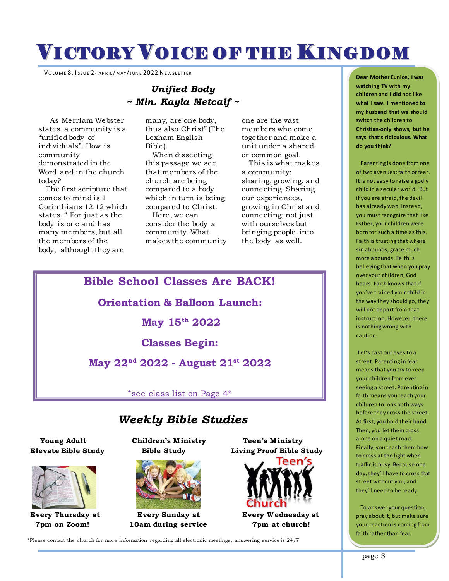# VICTORY VOICE OF THE KINGDOM VICTORY VOICE OF THE KINGDOM

VOLUME 8, ISSUE 2- APRIL/MAY/JUNE 2022 NEWSLETTER

### *Unified Body ~ Min. Kayla Metcalf ~*

 As Merriam Webster states, a community is a "unified body of individuals". How is community demonstrated in the Word and in the church today?

 The first scripture that comes to mind is 1 Corinthians 12:12 which states, " For just as the body is one and has many members, but all the members of the body, although they are

many, are one body, thus also Christ" (The Lexham English Bible).

 When dissecting this passage we see that members of the church are being compared to a body which in turn is being compared to Christ. Here, we can consider the body a community. What makes the community one are the vast members who come together and make a unit under a shared or common goal.

 This is what makes a community: sharing, growing, and connecting. Sharing our experiences, growing in Christ and connecting; not just with ourselves but bringing people into the body as well.

### **Bible School Classes Are BACK!**

**Orientation & Balloon Launch:**

**May 15th 2022**

**Classes Begin:**

**May 22nd 2022 - August 21st 2022**

\*see class list on Page 4\*

## $\bm{We}$ ekly Bible Studies

**Elevate Bible Study Bible Study Living Proof Bible Study**



 **Young Adult Children's M inistry Teen's M inistry**



 **7pm on Zoom! 10am during service 7pm at church!**



**Every Thursday at Every Sunday at Every W ednesday at**

\*Please contact the church for more information regarding all electronic meetings; answering service is 24/7.

**Dear Mother Eunice, I was watching TV with my children and I did not like what I saw. I mentioned to my husband that we should switch the children to Christian-only shows, but he says that's ridiculous. What do you think?**

 Parenting is done from one of two avenues: faith or fear. It is not easy to raise a godly child in a secular world. But if you are afraid, the devil has already won. Instead, you must recognize that like Esther, your children were born for such a time as this. Faith is trusting that where sin abounds, grace much more abounds. Faith is believing that when you pray over your children, God hears. Faith knows that if you've trained your child in the way they should go, they will not depart from that instruction. However, there is nothing wrong with caution.

Let's cast our eyes to a street. Parenting in fear means that you try to keep your children from ever seeing a street. Parenting in faith means you teach your children to look both ways before they cross the street. At first, you hold their hand. Then, you let them cross alone on a quiet road. Finally, you teach them how to cross at the light when traffic is busy. Because one day, they'll have to cross that street without you, and they'll need to be ready.

 To answer your question, pray about it, but make sure your reaction is coming from faith rather than fear.